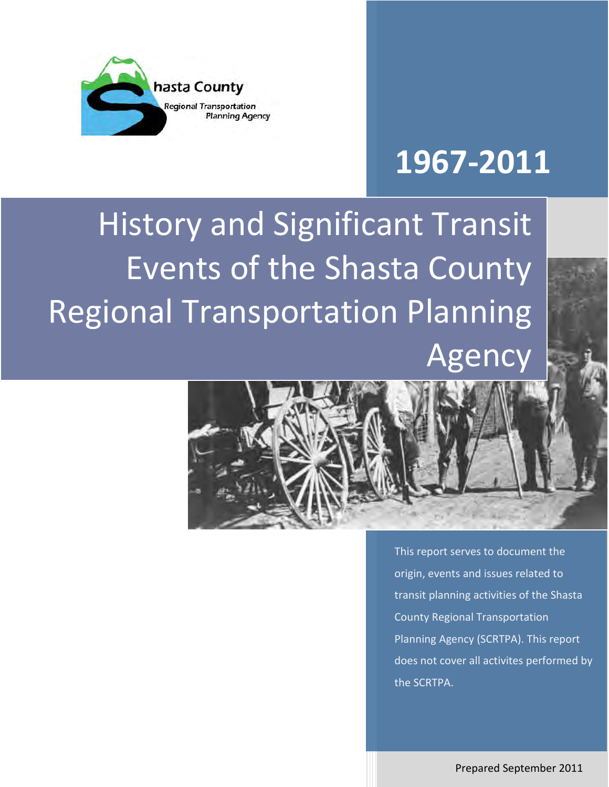

# **1967-2011**

History and Significant Transit Events of the Shasta County Regional Transportation Planning Agency



This report serves to document the origin, events and issues related to transit planning activities of the Shasta County Regional Transportation Planning Agency (SCRTPA). This report does not cover all activites performed by the SCRTPA.

Prepared September 2011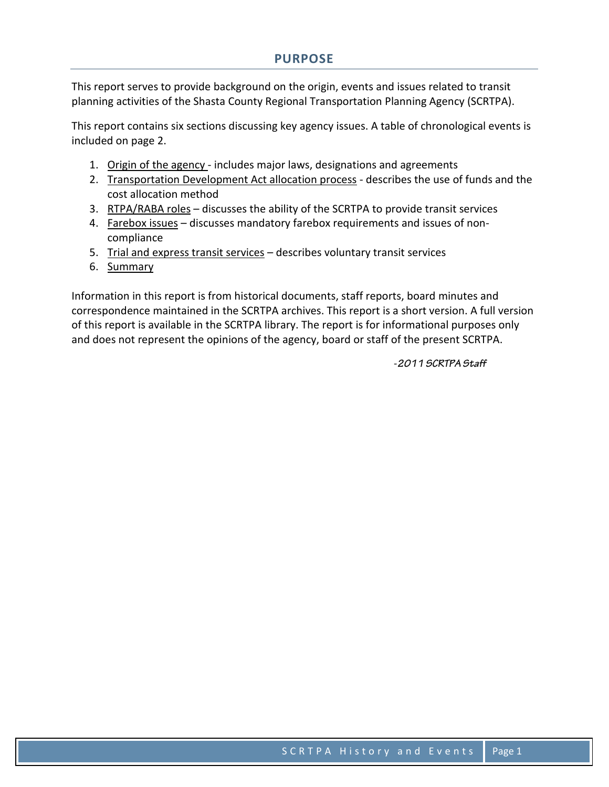This report serves to provide background on the origin, events and issues related to transit planning activities of the Shasta County Regional Transportation Planning Agency (SCRTPA).

This report contains six sections discussing key agency issues. A table of chronological events is included on page 2.

- 1. Origin of the agency includes major laws, designations and agreements
- 2. Transportation Development Act allocation process describes the use of funds and the cost allocation method
- 3. RTPA/RABA roles discusses the ability of the SCRTPA to provide transit services
- 4. Farebox issues discusses mandatory farebox requirements and issues of noncompliance
- 5. Trial and express transit services describes voluntary transit services
- 6. Summary

Information in this report is from historical documents, staff reports, board minutes and correspondence maintained in the SCRTPA archives. This report is a short version. A full version of this report is available in the SCRTPA library. The report is for informational purposes only and does not represent the opinions of the agency, board or staff of the present SCRTPA.

-*2011 SCRTPA Staff*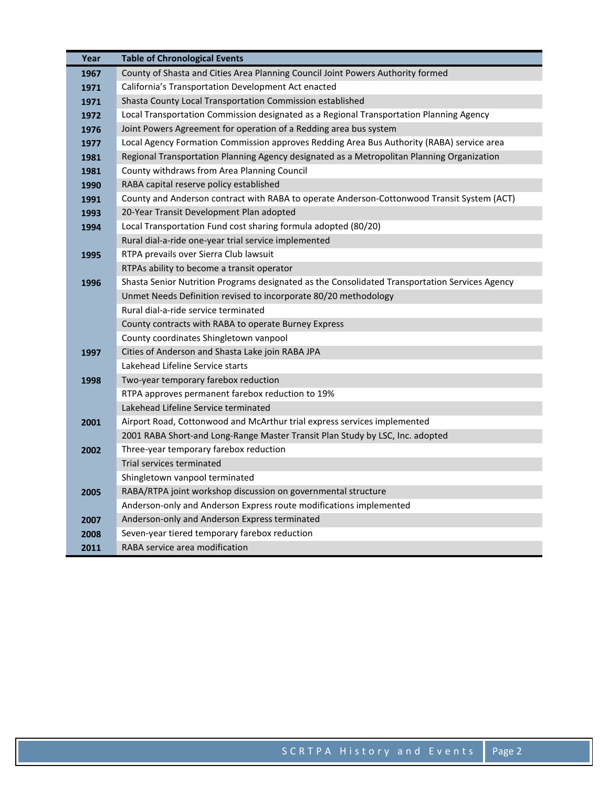| Year | <b>Table of Chronological Events</b>                                                           |  |  |  |
|------|------------------------------------------------------------------------------------------------|--|--|--|
| 1967 | County of Shasta and Cities Area Planning Council Joint Powers Authority formed                |  |  |  |
| 1971 | California's Transportation Development Act enacted                                            |  |  |  |
| 1971 | Shasta County Local Transportation Commission established                                      |  |  |  |
| 1972 | Local Transportation Commission designated as a Regional Transportation Planning Agency        |  |  |  |
| 1976 | Joint Powers Agreement for operation of a Redding area bus system                              |  |  |  |
| 1977 | Local Agency Formation Commission approves Redding Area Bus Authority (RABA) service area      |  |  |  |
| 1981 | Regional Transportation Planning Agency designated as a Metropolitan Planning Organization     |  |  |  |
| 1981 | County withdraws from Area Planning Council                                                    |  |  |  |
| 1990 | RABA capital reserve policy established                                                        |  |  |  |
| 1991 | County and Anderson contract with RABA to operate Anderson-Cottonwood Transit System (ACT)     |  |  |  |
| 1993 | 20-Year Transit Development Plan adopted                                                       |  |  |  |
| 1994 | Local Transportation Fund cost sharing formula adopted (80/20)                                 |  |  |  |
|      | Rural dial-a-ride one-year trial service implemented                                           |  |  |  |
| 1995 | RTPA prevails over Sierra Club lawsuit                                                         |  |  |  |
|      | RTPAs ability to become a transit operator                                                     |  |  |  |
| 1996 | Shasta Senior Nutrition Programs designated as the Consolidated Transportation Services Agency |  |  |  |
|      | Unmet Needs Definition revised to incorporate 80/20 methodology                                |  |  |  |
|      | Rural dial-a-ride service terminated                                                           |  |  |  |
|      | County contracts with RABA to operate Burney Express                                           |  |  |  |
|      | County coordinates Shingletown vanpool                                                         |  |  |  |
| 1997 | Cities of Anderson and Shasta Lake join RABA JPA                                               |  |  |  |
|      | Lakehead Lifeline Service starts                                                               |  |  |  |
| 1998 | Two-year temporary farebox reduction                                                           |  |  |  |
|      | RTPA approves permanent farebox reduction to 19%                                               |  |  |  |
|      | Lakehead Lifeline Service terminated                                                           |  |  |  |
| 2001 | Airport Road, Cottonwood and McArthur trial express services implemented                       |  |  |  |
|      | 2001 RABA Short-and Long-Range Master Transit Plan Study by LSC, Inc. adopted                  |  |  |  |
| 2002 | Three-year temporary farebox reduction                                                         |  |  |  |
|      | Trial services terminated                                                                      |  |  |  |
|      | Shingletown vanpool terminated                                                                 |  |  |  |
| 2005 | RABA/RTPA joint workshop discussion on governmental structure                                  |  |  |  |
|      | Anderson-only and Anderson Express route modifications implemented                             |  |  |  |
| 2007 | Anderson-only and Anderson Express terminated                                                  |  |  |  |
| 2008 | Seven-year tiered temporary farebox reduction                                                  |  |  |  |
| 2011 | RABA service area modification                                                                 |  |  |  |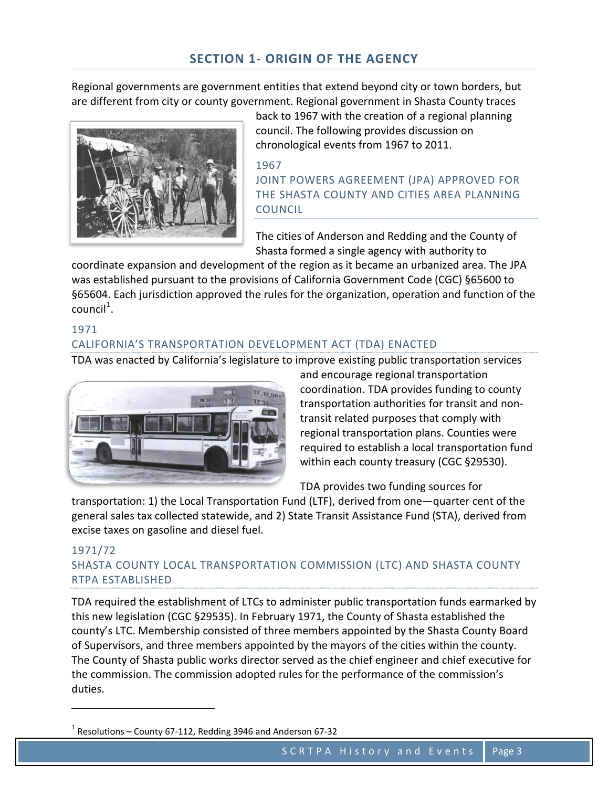Regional governments are government entities that extend beyond city or town borders, but are different from city or county government. Regional government in Shasta County traces



back to 1967 with the creation of a regional planning council. The following provides discussion on chronological events from 1967 to 2011.

#### 1967 JOINT POWERS AGREEMENT (JPA) APPROVED FOR THE SHASTA COUNTY AND CITIES AREA PLANNING COUNCIL

The cities of Anderson and Redding and the County of Shasta formed a single agency with authority to

coordinate expansion and development of the region as it became an urbanized area. The JPA was established pursuant to the provisions of California Government Code (CGC) §65600 to §65604. Each jurisdiction approved the rules for the organization, operation and function of the  $count<sup>1</sup>$  $count<sup>1</sup>$  $count<sup>1</sup>$ .

#### 1971 CALIFORNIA'S TRANSPORTATION DEVELOPMENT ACT (TDA) ENACTED

TDA was enacted by California's legislature to improve existing public transportation services



and encourage regional transportation coordination. TDA provides funding to county transportation authorities for transit and nontransit related purposes that comply with regional transportation plans. Counties were required to establish a local transportation fund within each county treasury (CGC §29530).

TDA provides two funding sources for

transportation: 1) the Local Transportation Fund (LTF), derived from one—quarter cent of the general sales tax collected statewide, and 2) State Transit Assistance Fund (STA), derived from excise taxes on gasoline and diesel fuel.

#### 1971/72 SHASTA COUNTY LOCAL TRANSPORTATION COMMISSION (LTC) AND SHASTA COUNTY RTPA ESTABLISHED

TDA required the establishment of LTCs to administer public transportation funds earmarked by this new legislation (CGC §29535). In February 1971, the County of Shasta established the county's LTC. Membership consisted of three members appointed by the Shasta County Board of Supervisors, and three members appointed by the mayors of the cities within the county. The County of Shasta public works director served as the chief engineer and chief executive for the commission. The commission adopted rules for the performance of the commission's duties.

<span id="page-3-0"></span> $1$  Resolutions – County 67-112, Redding 3946 and Anderson 67-32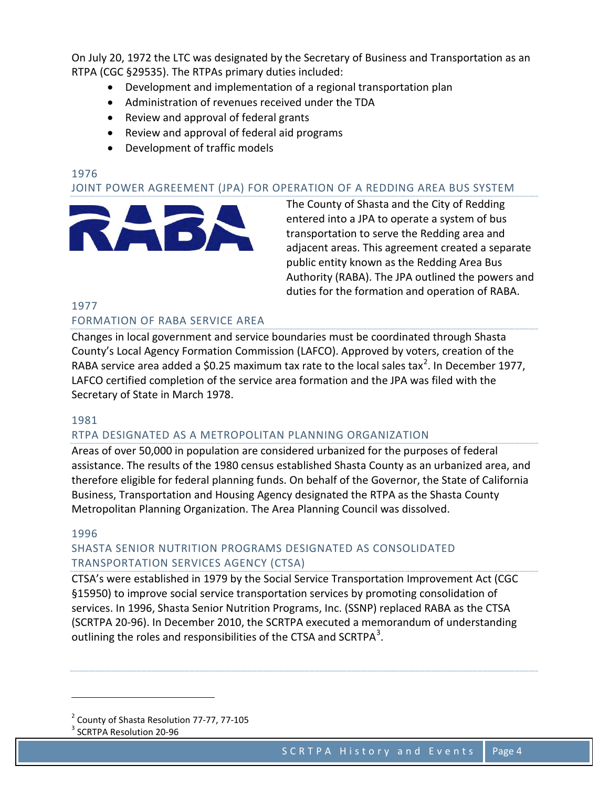On July 20, 1972 the LTC was designated by the Secretary of Business and Transportation as an RTPA (CGC §29535). The RTPAs primary duties included:

- Development and implementation of a regional transportation plan
- Administration of revenues received under the TDA
- Review and approval of federal grants
- Review and approval of federal aid programs
- Development of traffic models

# 1976

#### JOINT POWER AGREEMENT (JPA) FOR OPERATION OF A REDDING AREA BUS SYSTEM



The County of Shasta and the City of Redding entered into a JPA to operate a system of bus transportation to serve the Redding area and adjacent areas. This agreement created a separate public entity known as the Redding Area Bus Authority (RABA). The JPA outlined the powers and duties for the formation and operation of RABA.

# 1977

#### FORMATION OF RABA SERVICE AREA

Changes in local government and service boundaries must be coordinated through Shasta County's Local Agency Formation Commission (LAFCO). Approved by voters, creation of the RABA service area added a \$0.[2](#page-4-0)5 maximum tax rate to the local sales tax<sup>2</sup>. In December 1977, LAFCO certified completion of the service area formation and the JPA was filed with the Secretary of State in March 1978.

#### 1981

#### RTPA DESIGNATED AS A METROPOLITAN PLANNING ORGANIZATION

Areas of over 50,000 in population are considered urbanized for the purposes of federal assistance. The results of the 1980 census established Shasta County as an urbanized area, and therefore eligible for federal planning funds. On behalf of the Governor, the State of California Business, Transportation and Housing Agency designated the RTPA as the Shasta County Metropolitan Planning Organization. The Area Planning Council was dissolved.

#### 1996

ı

#### SHASTA SENIOR NUTRITION PROGRAMS DESIGNATED AS CONSOLIDATED TRANSPORTATION SERVICES AGENCY (CTSA)

CTSA's were established in 1979 by the Social Service Transportation Improvement Act (CGC §15950) to improve social service transportation services by promoting consolidation of services. In 1996, Shasta Senior Nutrition Programs, Inc. (SSNP) replaced RABA as the CTSA (SCRTPA 20-96). In December 2010, the SCRTPA executed a memorandum of understanding outlining the roles and responsibilities of the CTSA and SCRTPA $^3$  $^3$ .

<span id="page-4-0"></span><sup>2</sup> County of Shasta Resolution 77-77, 77-105

<span id="page-4-1"></span><sup>3</sup> SCRTPA Resolution 20-96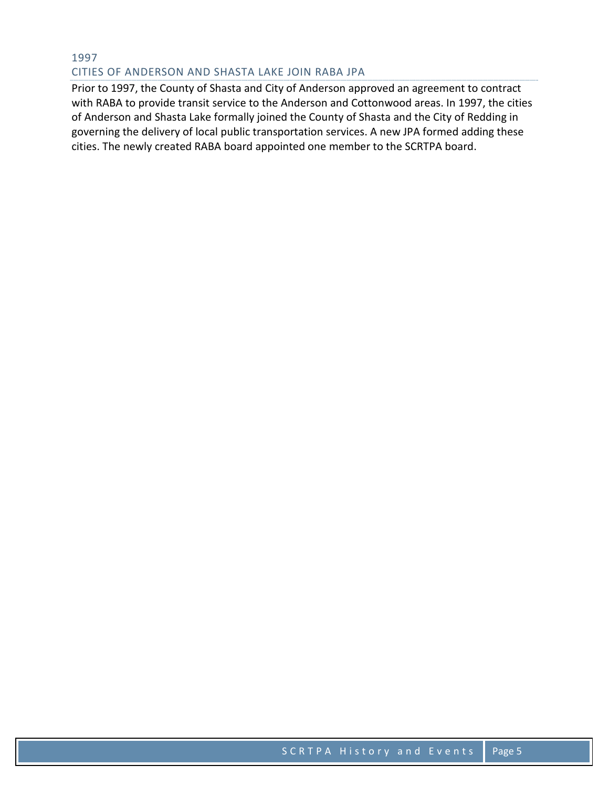#### 1997 CITIES OF ANDERSON AND SHASTA LAKE JOIN RABA JPA

Prior to 1997, the County of Shasta and City of Anderson approved an agreement to contract with RABA to provide transit service to the Anderson and Cottonwood areas. In 1997, the cities of Anderson and Shasta Lake formally joined the County of Shasta and the City of Redding in governing the delivery of local public transportation services. A new JPA formed adding these cities. The newly created RABA board appointed one member to the SCRTPA board.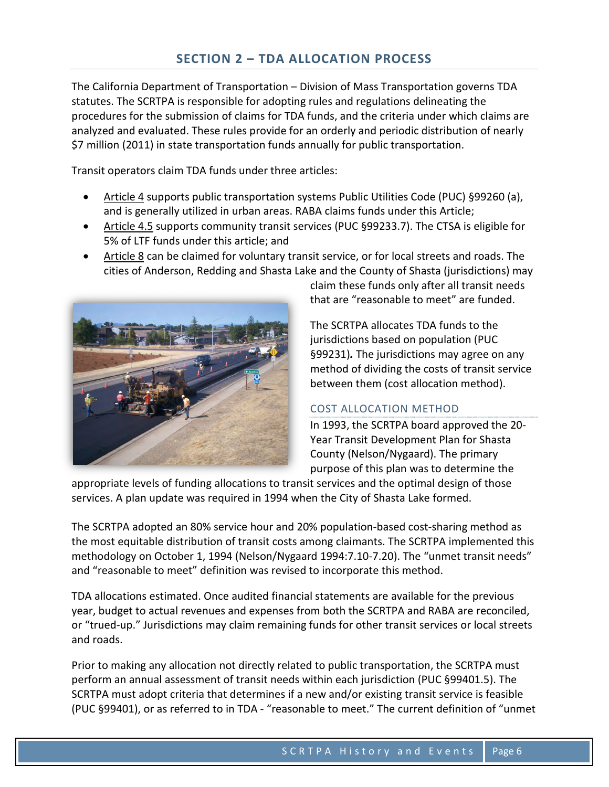The California Department of Transportation – Division of Mass Transportation governs TDA statutes. The SCRTPA is responsible for adopting rules and regulations delineating the procedures for the submission of claims for TDA funds, and the criteria under which claims are analyzed and evaluated. These rules provide for an orderly and periodic distribution of nearly \$7 million (2011) in state transportation funds annually for public transportation.

Transit operators claim TDA funds under three articles:

- Article 4 supports public transportation systems Public Utilities Code (PUC) §99260 (a), and is generally utilized in urban areas. RABA claims funds under this Article;
- Article 4.5 supports community transit services (PUC §99233.7). The CTSA is eligible for 5% of LTF funds under this article; and
- Article 8 can be claimed for voluntary transit service, or for local streets and roads. The cities of Anderson, Redding and Shasta Lake and the County of Shasta (jurisdictions) may



claim these funds only after all transit needs that are "reasonable to meet" are funded.

The SCRTPA allocates TDA funds to the jurisdictions based on population (PUC §99231)*.* The jurisdictions may agree on any method of dividing the costs of transit service between them (cost allocation method).

### COST ALLOCATION METHOD

In 1993, the SCRTPA board approved the 20- Year Transit Development Plan for Shasta County (Nelson/Nygaard). The primary purpose of this plan was to determine the

appropriate levels of funding allocations to transit services and the optimal design of those services. A plan update was required in 1994 when the City of Shasta Lake formed.

The SCRTPA adopted an 80% service hour and 20% population-based cost-sharing method as the most equitable distribution of transit costs among claimants. The SCRTPA implemented this methodology on October 1, 1994 (Nelson/Nygaard 1994:7.10-7.20). The "unmet transit needs" and "reasonable to meet" definition was revised to incorporate this method.

TDA allocations estimated. Once audited financial statements are available for the previous year, budget to actual revenues and expenses from both the SCRTPA and RABA are reconciled, or "trued-up." Jurisdictions may claim remaining funds for other transit services or local streets and roads.

Prior to making any allocation not directly related to public transportation, the SCRTPA must perform an annual assessment of transit needs within each jurisdiction (PUC §99401.5). The SCRTPA must adopt criteria that determines if a new and/or existing transit service is feasible (PUC §99401), or as referred to in TDA - "reasonable to meet." The current definition of "unmet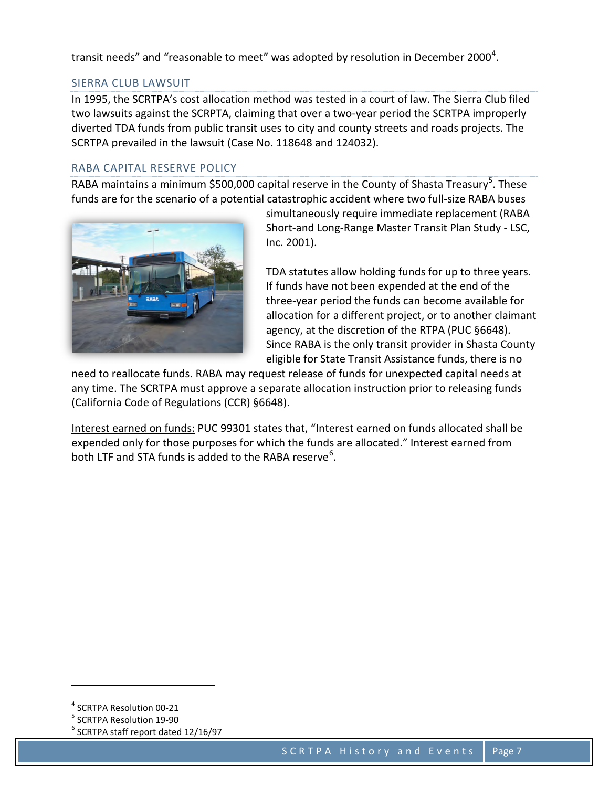transit needs" and "reasonable to meet" was adopted by resolution in December 2000<sup>[4](#page-7-0)</sup>.

#### SIERRA CLUB LAWSUIT

In 1995, the SCRTPA's cost allocation method was tested in a court of law. The Sierra Club filed two lawsuits against the SCRPTA, claiming that over a two-year period the SCRTPA improperly diverted TDA funds from public transit uses to city and county streets and roads projects. The SCRTPA prevailed in the lawsuit (Case No. 118648 and 124032).

#### RABA CAPITAL RESERVE POLICY

RABA maintains a minimum \$[5](#page-7-1)00,000 capital reserve in the County of Shasta Treasury<sup>5</sup>. These funds are for the scenario of a potential catastrophic accident where two full-size RABA buses



simultaneously require immediate replacement (RABA Short-and Long-Range Master Transit Plan Study - LSC, Inc. 2001).

TDA statutes allow holding funds for up to three years. If funds have not been expended at the end of the three-year period the funds can become available for allocation for a different project, or to another claimant agency, at the discretion of the RTPA (PUC §6648). Since RABA is the only transit provider in Shasta County eligible for State Transit Assistance funds, there is no

need to reallocate funds. RABA may request release of funds for unexpected capital needs at any time. The SCRTPA must approve a separate allocation instruction prior to releasing funds (California Code of Regulations (CCR) §6648).

Interest earned on funds: PUC 99301 states that, "Interest earned on funds allocated shall be expended only for those purposes for which the funds are allocated." Interest earned from both LTF and STA funds is added to the RABA reserve<sup>[6](#page-7-2)</sup>.

<span id="page-7-0"></span><sup>4</sup> SCRTPA Resolution 00-21

<span id="page-7-1"></span><sup>5</sup> SCRTPA Resolution 19-90

<span id="page-7-2"></span> $6$  SCRTPA staff report dated 12/16/97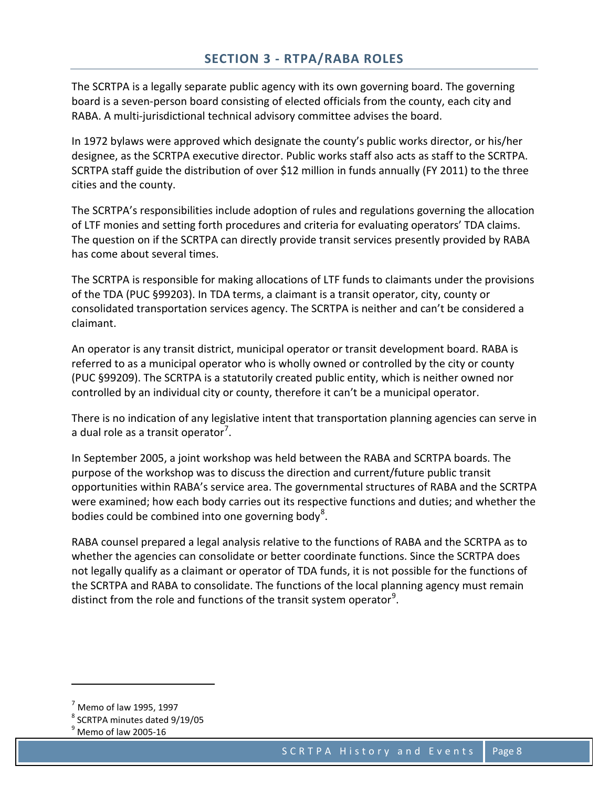The SCRTPA is a legally separate public agency with its own governing board. The governing board is a seven-person board consisting of elected officials from the county, each city and RABA. A multi-jurisdictional technical advisory committee advises the board.

In 1972 bylaws were approved which designate the county's public works director, or his/her designee, as the SCRTPA executive director. Public works staff also acts as staff to the SCRTPA. SCRTPA staff guide the distribution of over \$12 million in funds annually (FY 2011) to the three cities and the county.

The SCRTPA's responsibilities include adoption of rules and regulations governing the allocation of LTF monies and setting forth procedures and criteria for evaluating operators' TDA claims. The question on if the SCRTPA can directly provide transit services presently provided by RABA has come about several times.

The SCRTPA is responsible for making allocations of LTF funds to claimants under the provisions of the TDA (PUC §99203). In TDA terms, a claimant is a transit operator, city, county or consolidated transportation services agency. The SCRTPA is neither and can't be considered a claimant.

An operator is any transit district, municipal operator or transit development board. RABA is referred to as a municipal operator who is wholly owned or controlled by the city or county (PUC §99209). The SCRTPA is a statutorily created public entity, which is neither owned nor controlled by an individual city or county, therefore it can't be a municipal operator.

There is no indication of any legislative intent that transportation planning agencies can serve in a dual role as a transit operator<sup>[7](#page-8-0)</sup>.

In September 2005, a joint workshop was held between the RABA and SCRTPA boards. The purpose of the workshop was to discuss the direction and current/future public transit opportunities within RABA's service area. The governmental structures of RABA and the SCRTPA were examined; how each body carries out its respective functions and duties; and whether the bodies could be combined into one governing body<sup>[8](#page-8-1)</sup>.

RABA counsel prepared a legal analysis relative to the functions of RABA and the SCRTPA as to whether the agencies can consolidate or better coordinate functions. Since the SCRTPA does not legally qualify as a claimant or operator of TDA funds, it is not possible for the functions of the SCRTPA and RABA to consolidate. The functions of the local planning agency must remain distinct from the role and functions of the transit system operator<sup>[9](#page-8-2)</sup>.

<span id="page-8-0"></span> $<sup>7</sup>$  Memo of law 1995, 1997</sup>

<span id="page-8-1"></span><sup>8</sup> SCRTPA minutes dated 9/19/05

<span id="page-8-2"></span> $<sup>9</sup>$  Memo of law 2005-16</sup>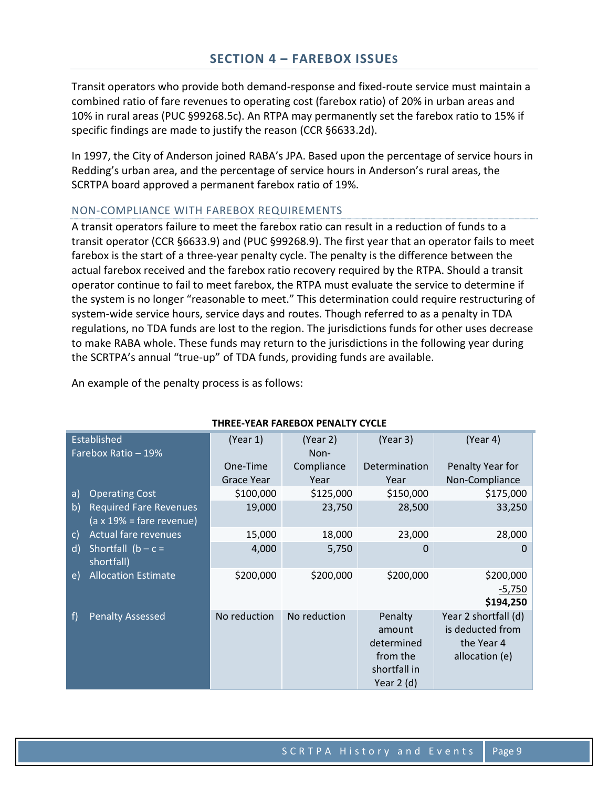Transit operators who provide both demand-response and fixed-route service must maintain a combined ratio of fare revenues to operating cost (farebox ratio) of 20% in urban areas and 10% in rural areas (PUC §99268.5c). An RTPA may permanently set the farebox ratio to 15% if specific findings are made to justify the reason (CCR §6633.2d).

In 1997, the City of Anderson joined RABA's JPA. Based upon the percentage of service hours in Redding's urban area, and the percentage of service hours in Anderson's rural areas, the SCRTPA board approved a permanent farebox ratio of 19%.

#### NON-COMPLIANCE WITH FAREBOX REQUIREMENTS

A transit operators failure to meet the farebox ratio can result in a reduction of funds to a transit operator (CCR §6633.9) and (PUC §99268.9). The first year that an operator fails to meet farebox is the start of a three-year penalty cycle. The penalty is the difference between the actual farebox received and the farebox ratio recovery required by the RTPA. Should a transit operator continue to fail to meet farebox, the RTPA must evaluate the service to determine if the system is no longer "reasonable to meet." This determination could require restructuring of system-wide service hours, service days and routes. Though referred to as a penalty in TDA regulations, no TDA funds are lost to the region. The jurisdictions funds for other uses decrease to make RABA whole. These funds may return to the jurisdictions in the following year during the SCRTPA's annual "true-up" of TDA funds, providing funds are available.

An example of the penalty process is as follows:

| Established<br>Farebox Ratio - 19% |                                                                          | (Year 1)          | (Year 2)<br>Non- | (Year 3)                                                                   | (Year 4)                                                                 |  |
|------------------------------------|--------------------------------------------------------------------------|-------------------|------------------|----------------------------------------------------------------------------|--------------------------------------------------------------------------|--|
|                                    |                                                                          | One-Time          | Compliance       | Determination                                                              | Penalty Year for                                                         |  |
|                                    |                                                                          | <b>Grace Year</b> | Year             | Year                                                                       | Non-Compliance                                                           |  |
| a)                                 | <b>Operating Cost</b>                                                    | \$100,000         | \$125,000        | \$150,000                                                                  | \$175,000                                                                |  |
| b)                                 | <b>Required Fare Revenues</b><br>$(a \times 19\% = \text{fare revenue})$ | 19,000            | 23,750           | 28,500                                                                     | 33,250                                                                   |  |
| $\mathsf{C}$                       | <b>Actual fare revenues</b>                                              | 15,000            | 18,000           | 23,000                                                                     | 28,000                                                                   |  |
| $\mathsf{d}$                       | Shortfall $(b - c =$<br>shortfall)                                       | 4,000             | 5,750            | 0                                                                          | 0                                                                        |  |
| e)                                 | <b>Allocation Estimate</b>                                               | \$200,000         | \$200,000        | \$200,000                                                                  | \$200,000<br>$-5,750$<br>\$194,250                                       |  |
| f                                  | <b>Penalty Assessed</b>                                                  | No reduction      | No reduction     | Penalty<br>amount<br>determined<br>from the<br>shortfall in<br>Year $2(d)$ | Year 2 shortfall (d)<br>is deducted from<br>the Year 4<br>allocation (e) |  |

#### **THREE-YEAR FAREBOX PENALTY CYCLE**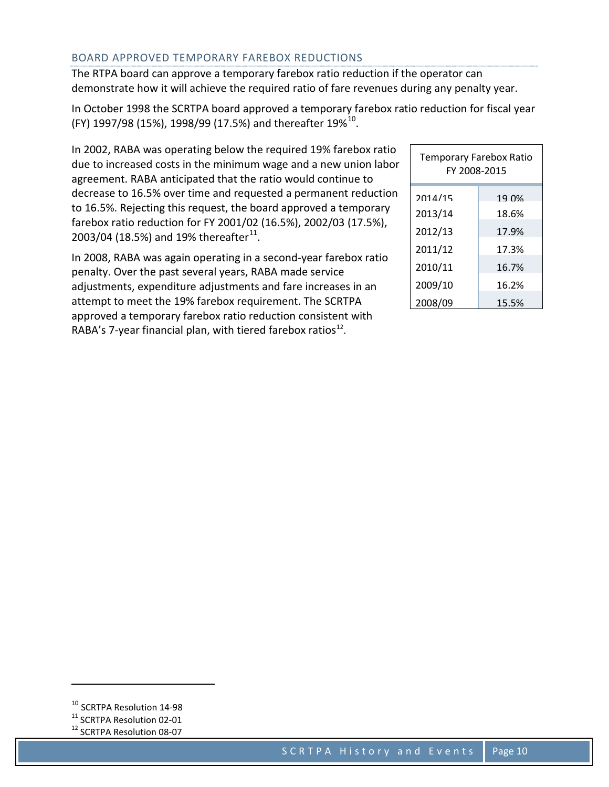#### BOARD APPROVED TEMPORARY FAREBOX REDUCTIONS

The RTPA board can approve a temporary farebox ratio reduction if the operator can demonstrate how it will achieve the required ratio of fare revenues during any penalty year.

In October 1998 the SCRTPA board approved a temporary farebox ratio reduction for fiscal year (FY) 1997/98 (15%), 1998/99 (17.5%) and thereafter 19%<sup>[10](#page-10-0)</sup>.

| In 2002, RABA was operating below the required 19% farebox ratio |
|------------------------------------------------------------------|
| due to increased costs in the minimum wage and a new union labor |
| agreement. RABA anticipated that the ratio would continue to     |
| decrease to 16.5% over time and requested a permanent reduction  |
| to 16.5%. Rejecting this request, the board approved a temporary |
| farebox ratio reduction for FY 2001/02 (16.5%), 2002/03 (17.5%), |
| 2003/04 (18.5%) and 19% thereafter <sup>11</sup> .               |

In 2008, RABA was again operating in a second-year farebox ratio penalty. Over the past several years, RABA made service adjustments, expenditure adjustments and fare increases in an attempt to meet the 19% farebox requirement. The SCRTPA approved a temporary farebox ratio reduction consistent with RABA's 7-year financial plan, with tiered farebox ratios $^{12}$  $^{12}$  $^{12}$ .

| <b>Temporary Farebox Ratio</b><br>FY 2008-2015 |       |  |  |  |  |
|------------------------------------------------|-------|--|--|--|--|
| 2014/15                                        | 19 በ% |  |  |  |  |
| 2013/14                                        | 18.6% |  |  |  |  |
| 2012/13                                        | 17.9% |  |  |  |  |
| 2011/12                                        | 17.3% |  |  |  |  |
| 2010/11                                        | 16.7% |  |  |  |  |
| 2009/10                                        | 16.2% |  |  |  |  |
| 2008/09                                        | 15.5% |  |  |  |  |

<span id="page-10-0"></span><sup>&</sup>lt;sup>10</sup> SCRTPA Resolution 14-98

<span id="page-10-1"></span><sup>&</sup>lt;sup>11</sup> SCRTPA Resolution 02-01

<span id="page-10-2"></span><sup>&</sup>lt;sup>12</sup> SCRTPA Resolution 08-07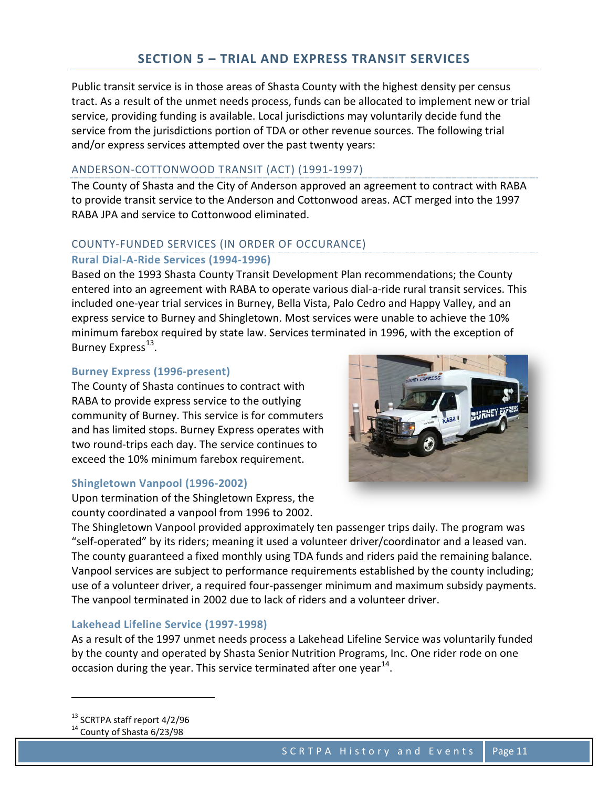## **SECTION 5 – TRIAL AND EXPRESS TRANSIT SERVICES**

Public transit service is in those areas of Shasta County with the highest density per census tract. As a result of the unmet needs process, funds can be allocated to implement new or trial service, providing funding is available. Local jurisdictions may voluntarily decide fund the service from the jurisdictions portion of TDA or other revenue sources. The following trial and/or express services attempted over the past twenty years:

#### ANDERSON-COTTONWOOD TRANSIT (ACT) (1991-1997)

The County of Shasta and the City of Anderson approved an agreement to contract with RABA to provide transit service to the Anderson and Cottonwood areas. ACT merged into the 1997 RABA JPA and service to Cottonwood eliminated.

#### COUNTY-FUNDED SERVICES (IN ORDER OF OCCURANCE)

#### **Rural Dial-A-Ride Services (1994-1996)**

Based on the 1993 Shasta County Transit Development Plan recommendations; the County entered into an agreement with RABA to operate various dial-a-ride rural transit services. This included one-year trial services in Burney, Bella Vista, Palo Cedro and Happy Valley, and an express service to Burney and Shingletown. Most services were unable to achieve the 10% minimum farebox required by state law. Services terminated in 1996, with the exception of Burney Express<sup>[13](#page-11-0)</sup>.

#### **Burney Express (1996-present)**

The County of Shasta continues to contract with RABA to provide express service to the outlying community of Burney. This service is for commuters and has limited stops. Burney Express operates with two round-trips each day. The service continues to exceed the 10% minimum farebox requirement.

#### **Shingletown Vanpool (1996-2002)**

Upon termination of the Shingletown Express, the county coordinated a vanpool from 1996 to 2002.



The Shingletown Vanpool provided approximately ten passenger trips daily. The program was "self-operated" by its riders; meaning it used a volunteer driver/coordinator and a leased van. The county guaranteed a fixed monthly using TDA funds and riders paid the remaining balance. Vanpool services are subject to performance requirements established by the county including; use of a volunteer driver, a required four-passenger minimum and maximum subsidy payments. The vanpool terminated in 2002 due to lack of riders and a volunteer driver.

#### **Lakehead Lifeline Service (1997-1998)**

As a result of the 1997 unmet needs process a Lakehead Lifeline Service was voluntarily funded by the county and operated by Shasta Senior Nutrition Programs, Inc. One rider rode on one occasion during the year. This service terminated after one year $^{14}$  $^{14}$  $^{14}$ .

<span id="page-11-0"></span><sup>13</sup> SCRTPA staff report 4/2/96

ı

<span id="page-11-1"></span> $14$  County of Shasta 6/23/98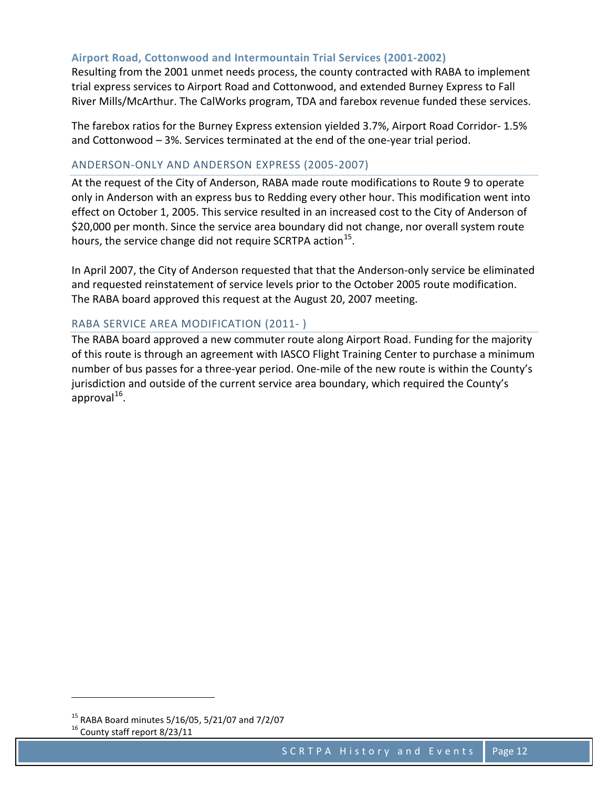#### **Airport Road, Cottonwood and Intermountain Trial Services (2001-2002)**

Resulting from the 2001 unmet needs process, the county contracted with RABA to implement trial express services to Airport Road and Cottonwood, and extended Burney Express to Fall River Mills/McArthur. The CalWorks program, TDA and farebox revenue funded these services.

The farebox ratios for the Burney Express extension yielded 3.7%, Airport Road Corridor- 1.5% and Cottonwood – 3%. Services terminated at the end of the one-year trial period.

#### ANDERSON-ONLY AND ANDERSON EXPRESS (2005-2007)

At the request of the City of Anderson, RABA made route modifications to Route 9 to operate only in Anderson with an express bus to Redding every other hour. This modification went into effect on October 1, 2005. This service resulted in an increased cost to the City of Anderson of \$20,000 per month. Since the service area boundary did not change, nor overall system route hours, the service change did not require SCRTPA action<sup>[15](#page-12-0)</sup>.

In April 2007, the City of Anderson requested that that the Anderson-only service be eliminated and requested reinstatement of service levels prior to the October 2005 route modification. The RABA board approved this request at the August 20, 2007 meeting.

#### RABA SERVICE AREA MODIFICATION (2011- )

The RABA board approved a new commuter route along Airport Road. Funding for the majority of this route is through an agreement with IASCO Flight Training Center to purchase a minimum number of bus passes for a three-year period. One-mile of the new route is within the County's jurisdiction and outside of the current service area boundary, which required the County's approval $^{16}$  $^{16}$  $^{16}$ .

ı

<span id="page-12-0"></span><sup>15</sup> RABA Board minutes 5/16/05, 5/21/07 and 7/2/07

<span id="page-12-1"></span> $16$  County staff report 8/23/11